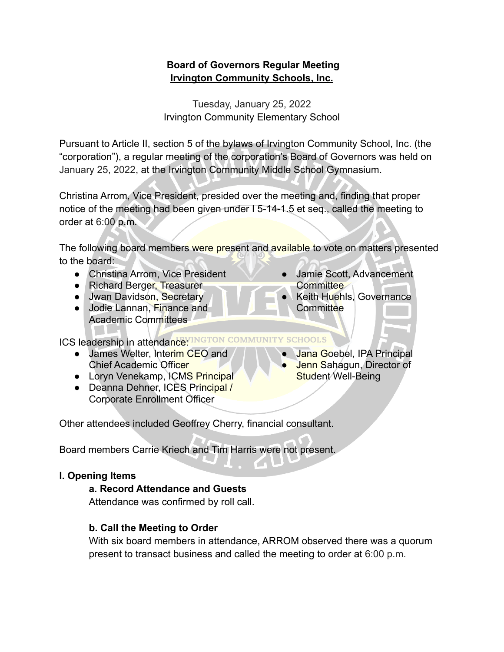# **Board of Governors Regular Meeting Irvington Community Schools, Inc.**

Tuesday, January 25, 2022 Irvington Community Elementary School

Pursuant to Article II, section 5 of the bylaws of Irvington Community School, Inc. (the "corporation"), a regular meeting of the corporation's Board of Governors was held on January 25, 2022, at the Irvington Community Middle School Gymnasium.

Christina Arrom, Vice President, presided over the meeting and, finding that proper notice of the meeting had been given under I 5-14-1.5 et seq., called the meeting to order at 6:00 p.m.

The following board members were present and available to vote on matters presented to the board:

- Christina Arrom, Vice President
- Richard Berger, Treasurer
- Jwan Davidson, Secretary
- Jodie Lannan, Finance and Academic Committees
- Jamie Scott, Advancement **Committee**
- **Keith Huehls, Governance Committee**

ICS leadership in attendance: INGTON COMMUNITY SCHOOLS

- James Welter, Interim CEO and Chief Academic Officer
- Loryn Venekamp, ICMS Principal
- Deanna Dehner, ICES Principal / Corporate Enrollment Officer

Other attendees included Geoffrey Cherry, financial consultant.

Board members Carrie Kriech and Tim Harris were not present.

# **I. Opening Items**

# **a. Record Attendance and Guests**

Attendance was confirmed by roll call.

# **b. Call the Meeting to Order**

With six board members in attendance, ARROM observed there was a quorum present to transact business and called the meeting to order at 6:00 p.m.

- Jana Goebel, IPA Principal
- Jenn Sahagun, Director of Student Well-Being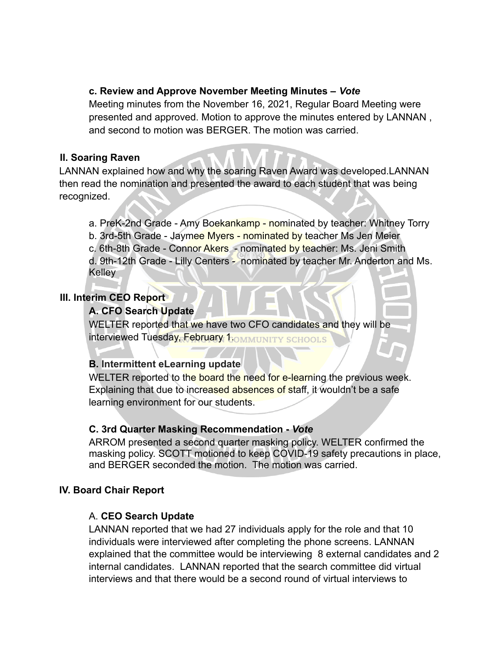#### **c. Review and Approve November Meeting Minutes –** *Vote*

Meeting minutes from the November 16, 2021, Regular Board Meeting were presented and approved. Motion to approve the minutes entered by LANNAN , and second to motion was BERGER. The motion was carried.

#### **II. Soaring Raven**

LANNAN explained how and why the soaring Raven Award was developed.LANNAN then read the nomination and presented the award to each student that was being recognized.

a. PreK-2nd Grade - Amy Boekankamp - nominated by teacher: Whitney Torry b. 3rd-5th Grade - Jaymee Myers - nominated by teacher Ms Jen Meier c. 6th-8th Grade - Connor Akers - nominated by teacher: Ms. Jeni Smith d. 9th-12th Grade - Lilly Centers - nominated by teacher Mr. Anderton and Ms. Kelley

# **III. Interim CEO Report**

#### **A. CFO Search Update**

WELTER reported that we have two CFO candidates and they will be interviewed Tuesday, February 1. OMMUNITY SCHOOLS

# **B. Intermittent eLearning update**

WELTER reported to the board the need for e-learning the previous week. Explaining that due to increased absences of staff, it wouldn't be a safe learning environment for our students.

#### **C. 3rd Quarter Masking Recommendation -** *Vote*

ARROM presented a second quarter masking policy. WELTER confirmed the masking policy. SCOTT motioned to keep COVID-19 safety precautions in place, and BERGER seconded the motion. The motion was carried.

# **IV. Board Chair Report**

# A. **CEO Search Update**

LANNAN reported that we had 27 individuals apply for the role and that 10 individuals were interviewed after completing the phone screens. LANNAN explained that the committee would be interviewing 8 external candidates and 2 internal candidates. LANNAN reported that the search committee did virtual interviews and that there would be a second round of virtual interviews to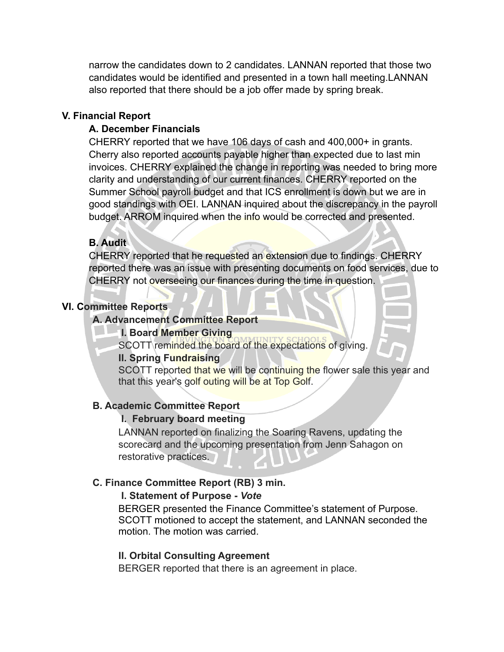narrow the candidates down to 2 candidates. LANNAN reported that those two candidates would be identified and presented in a town hall meeting.LANNAN also reported that there should be a job offer made by spring break.

#### **V. Financial Report**

#### **A. December Financials**

CHERRY reported that we have 106 days of cash and 400,000+ in grants. Cherry also reported accounts payable higher than expected due to last min invoices. CHERRY explained the change in reporting was needed to bring more clarity and understanding of our current finances. CHERRY reported on the Summer School payroll budget and that ICS enrollment is down but we are in good standings with OEI. LANNAN inquired about the discrepancy in the payroll budget. ARROM inquired when the info would be corrected and presented.

# **B. Audit**

CHERRY reported that he requested an extension due to findings. CHERRY reported there was an issue with presenting documents on food services, due to CHERRY not overseeing our finances during the time in question.

# **VI. Committee Reports**

# **A. Advancement Committee Report**

# **I. Board Member Giving**

SCOTT reminded the board of the expectations of giving.

#### **II. Spring Fundraising**

SCOTT reported that we will be continuing the flower sale this year and that this year's golf outing will be at Top Golf.

# **B. Academic Committee Report**

# **I. February board meeting**

LANNAN reported on finalizing the Soaring Ravens, updating the scorecard and the upcoming presentation from Jenn Sahagon on restorative practices.

# **C. Finance Committee Report (RB) 3 min.**

#### **I. Statement of Purpose -** *Vote*

BERGER presented the Finance Committee's statement of Purpose. SCOTT motioned to accept the statement, and LANNAN seconded the motion. The motion was carried.

# **II. Orbital Consulting Agreement**

BERGER reported that there is an agreement in place.